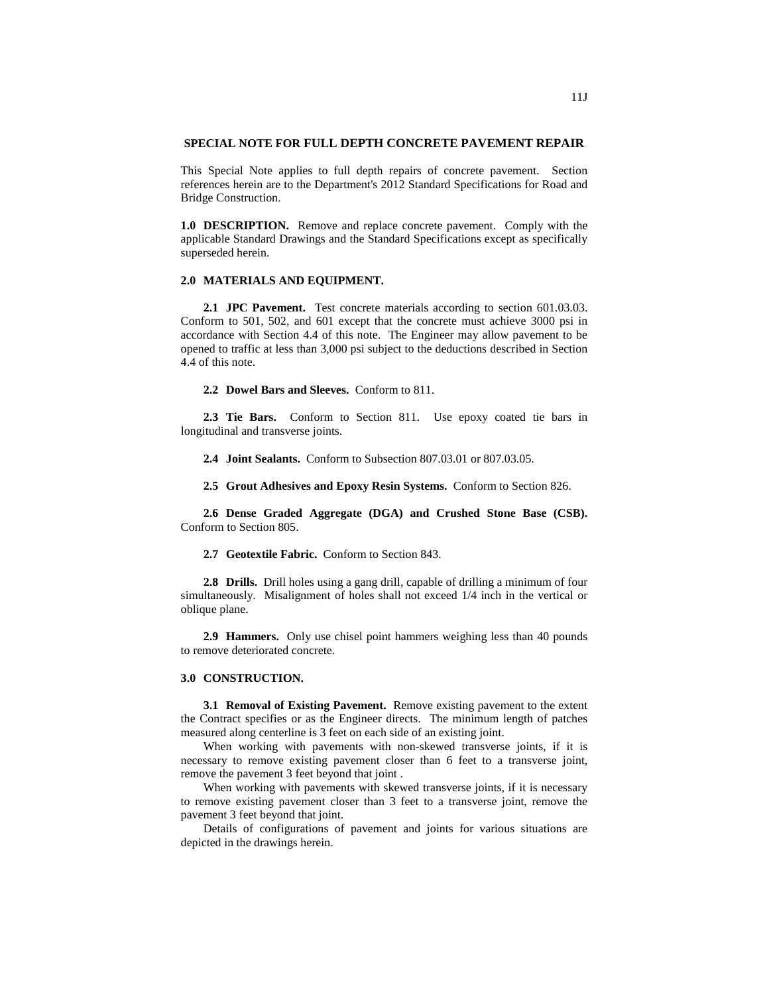## **SPECIAL NOTE FOR FULL DEPTH CONCRETE PAVEMENT REPAIR**

This Special Note applies to full depth repairs of concrete pavement. Section references herein are to the Department's 2012 Standard Specifications for Road and Bridge Construction.

**1.0 DESCRIPTION.** Remove and replace concrete pavement. Comply with the applicable Standard Drawings and the Standard Specifications except as specifically superseded herein.

## **2.0 MATERIALS AND EQUIPMENT.**

**2.1 JPC Pavement.** Test concrete materials according to section 601.03.03. Conform to 501, 502, and 601 except that the concrete must achieve 3000 psi in accordance with Section 4.4 of this note. The Engineer may allow pavement to be opened to traffic at less than 3,000 psi subject to the deductions described in Section 4.4 of this note.

**2.2 Dowel Bars and Sleeves.** Conform to 811.

**2.3 Tie Bars.** Conform to Section 811. Use epoxy coated tie bars in longitudinal and transverse joints.

**2.4 Joint Sealants.** Conform to Subsection 807.03.01 or 807.03.05.

**2.5 Grout Adhesives and Epoxy Resin Systems.** Conform to Section 826.

**2.6 Dense Graded Aggregate (DGA) and Crushed Stone Base (CSB).**  Conform to Section 805.

**2.7 Geotextile Fabric.** Conform to Section 843.

**2.8 Drills.** Drill holes using a gang drill, capable of drilling a minimum of four simultaneously. Misalignment of holes shall not exceed 1/4 inch in the vertical or oblique plane.

**2.9 Hammers.** Only use chisel point hammers weighing less than 40 pounds to remove deteriorated concrete.

## **3.0 CONSTRUCTION.**

**3.1 Removal of Existing Pavement.** Remove existing pavement to the extent the Contract specifies or as the Engineer directs. The minimum length of patches measured along centerline is 3 feet on each side of an existing joint.

When working with pavements with non-skewed transverse joints, if it is necessary to remove existing pavement closer than 6 feet to a transverse joint, remove the pavement 3 feet beyond that joint .

When working with pavements with skewed transverse joints, if it is necessary to remove existing pavement closer than 3 feet to a transverse joint, remove the pavement 3 feet beyond that joint.

Details of configurations of pavement and joints for various situations are depicted in the drawings herein.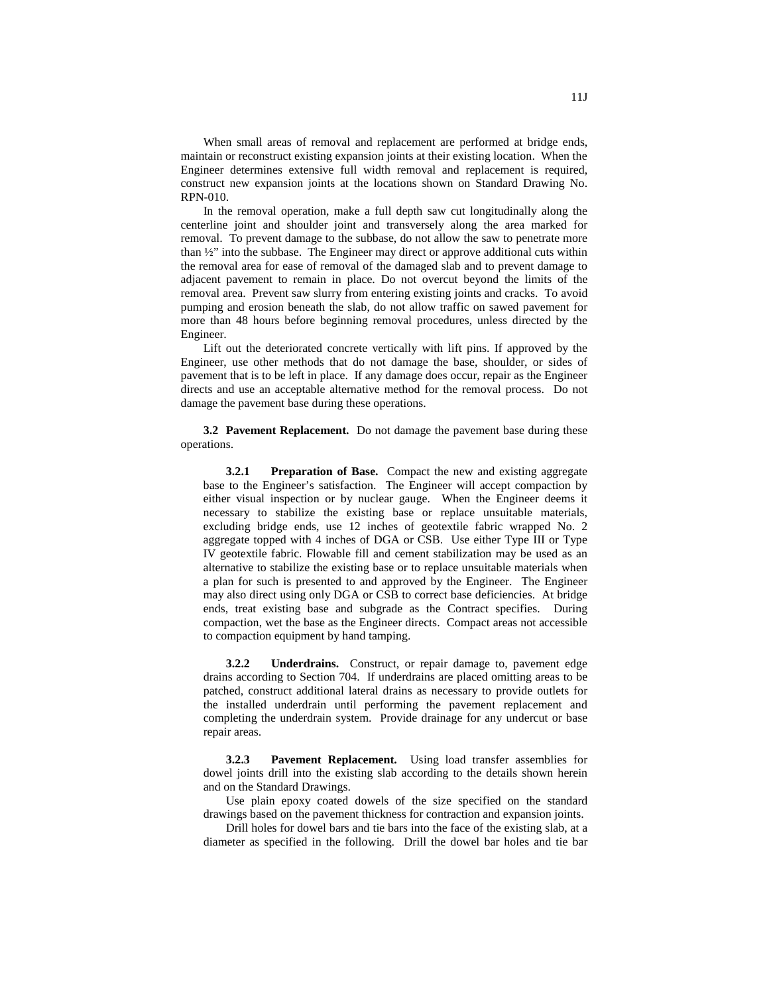When small areas of removal and replacement are performed at bridge ends, maintain or reconstruct existing expansion joints at their existing location. When the Engineer determines extensive full width removal and replacement is required, construct new expansion joints at the locations shown on Standard Drawing No. RPN-010.

In the removal operation, make a full depth saw cut longitudinally along the centerline joint and shoulder joint and transversely along the area marked for removal. To prevent damage to the subbase, do not allow the saw to penetrate more than  $\frac{1}{2}$ " into the subbase. The Engineer may direct or approve additional cuts within the removal area for ease of removal of the damaged slab and to prevent damage to adjacent pavement to remain in place. Do not overcut beyond the limits of the removal area. Prevent saw slurry from entering existing joints and cracks. To avoid pumping and erosion beneath the slab, do not allow traffic on sawed pavement for more than 48 hours before beginning removal procedures, unless directed by the Engineer.

Lift out the deteriorated concrete vertically with lift pins. If approved by the Engineer, use other methods that do not damage the base, shoulder, or sides of pavement that is to be left in place. If any damage does occur, repair as the Engineer directs and use an acceptable alternative method for the removal process. Do not damage the pavement base during these operations.

**3.2 Pavement Replacement.** Do not damage the pavement base during these operations.

**3.2.1 Preparation of Base.** Compact the new and existing aggregate base to the Engineer's satisfaction. The Engineer will accept compaction by either visual inspection or by nuclear gauge. When the Engineer deems it necessary to stabilize the existing base or replace unsuitable materials, excluding bridge ends, use 12 inches of geotextile fabric wrapped No. 2 aggregate topped with 4 inches of DGA or CSB. Use either Type III or Type IV geotextile fabric. Flowable fill and cement stabilization may be used as an alternative to stabilize the existing base or to replace unsuitable materials when a plan for such is presented to and approved by the Engineer. The Engineer may also direct using only DGA or CSB to correct base deficiencies. At bridge ends, treat existing base and subgrade as the Contract specifies. During compaction, wet the base as the Engineer directs. Compact areas not accessible to compaction equipment by hand tamping.

**3.2.2 Underdrains.** Construct, or repair damage to, pavement edge drains according to Section 704. If underdrains are placed omitting areas to be patched, construct additional lateral drains as necessary to provide outlets for the installed underdrain until performing the pavement replacement and completing the underdrain system. Provide drainage for any undercut or base repair areas.

**3.2.3 Pavement Replacement.** Using load transfer assemblies for dowel joints drill into the existing slab according to the details shown herein and on the Standard Drawings.

Use plain epoxy coated dowels of the size specified on the standard drawings based on the pavement thickness for contraction and expansion joints.

Drill holes for dowel bars and tie bars into the face of the existing slab, at a diameter as specified in the following. Drill the dowel bar holes and tie bar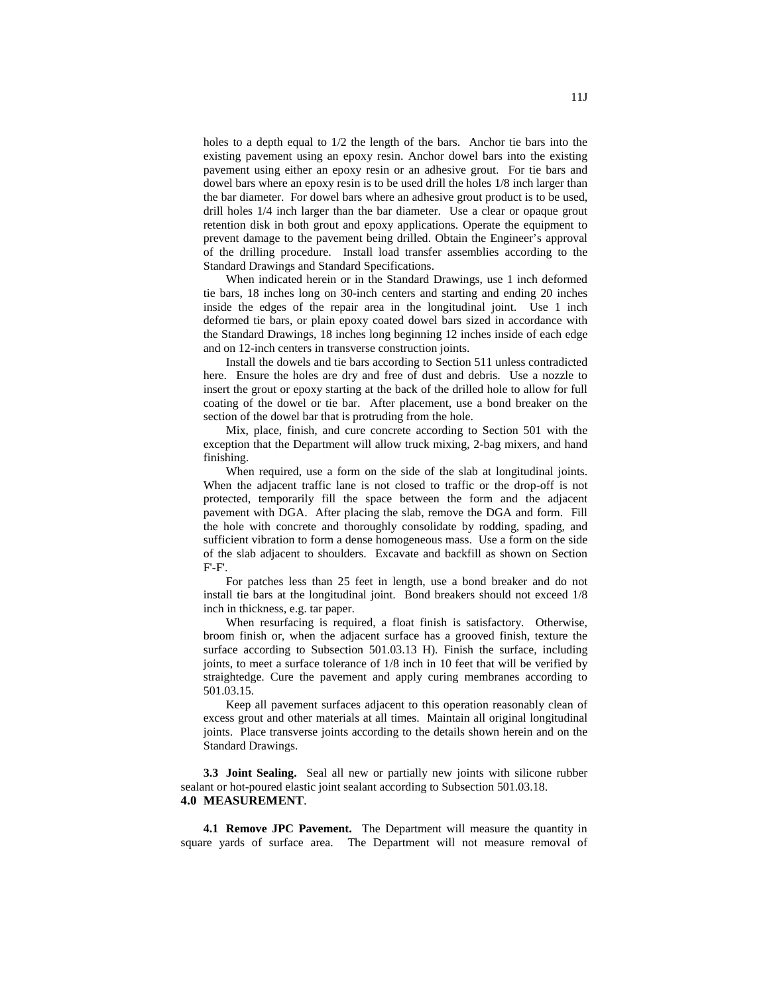holes to a depth equal to 1/2 the length of the bars. Anchor tie bars into the existing pavement using an epoxy resin. Anchor dowel bars into the existing pavement using either an epoxy resin or an adhesive grout. For tie bars and dowel bars where an epoxy resin is to be used drill the holes 1/8 inch larger than the bar diameter. For dowel bars where an adhesive grout product is to be used, drill holes 1/4 inch larger than the bar diameter. Use a clear or opaque grout retention disk in both grout and epoxy applications. Operate the equipment to prevent damage to the pavement being drilled. Obtain the Engineer's approval of the drilling procedure. Install load transfer assemblies according to the Standard Drawings and Standard Specifications.

When indicated herein or in the Standard Drawings, use 1 inch deformed tie bars, 18 inches long on 30-inch centers and starting and ending 20 inches inside the edges of the repair area in the longitudinal joint. Use 1 inch deformed tie bars, or plain epoxy coated dowel bars sized in accordance with the Standard Drawings, 18 inches long beginning 12 inches inside of each edge and on 12-inch centers in transverse construction joints.

Install the dowels and tie bars according to Section 511 unless contradicted here. Ensure the holes are dry and free of dust and debris. Use a nozzle to insert the grout or epoxy starting at the back of the drilled hole to allow for full coating of the dowel or tie bar. After placement, use a bond breaker on the section of the dowel bar that is protruding from the hole.

Mix, place, finish, and cure concrete according to Section 501 with the exception that the Department will allow truck mixing, 2-bag mixers, and hand finishing.

When required, use a form on the side of the slab at longitudinal joints. When the adjacent traffic lane is not closed to traffic or the drop-off is not protected, temporarily fill the space between the form and the adjacent pavement with DGA. After placing the slab, remove the DGA and form. Fill the hole with concrete and thoroughly consolidate by rodding, spading, and sufficient vibration to form a dense homogeneous mass. Use a form on the side of the slab adjacent to shoulders. Excavate and backfill as shown on Section F'-F'.

For patches less than 25 feet in length, use a bond breaker and do not install tie bars at the longitudinal joint. Bond breakers should not exceed 1/8 inch in thickness, e.g. tar paper.

When resurfacing is required, a float finish is satisfactory. Otherwise, broom finish or, when the adjacent surface has a grooved finish, texture the surface according to Subsection 501.03.13 H). Finish the surface, including joints, to meet a surface tolerance of 1/8 inch in 10 feet that will be verified by straightedge. Cure the pavement and apply curing membranes according to 501.03.15.

Keep all pavement surfaces adjacent to this operation reasonably clean of excess grout and other materials at all times. Maintain all original longitudinal joints. Place transverse joints according to the details shown herein and on the Standard Drawings.

**3.3 Joint Sealing.** Seal all new or partially new joints with silicone rubber sealant or hot-poured elastic joint sealant according to Subsection 501.03.18. **4.0 MEASUREMENT**.

**4.1 Remove JPC Pavement.** The Department will measure the quantity in square yards of surface area. The Department will not measure removal of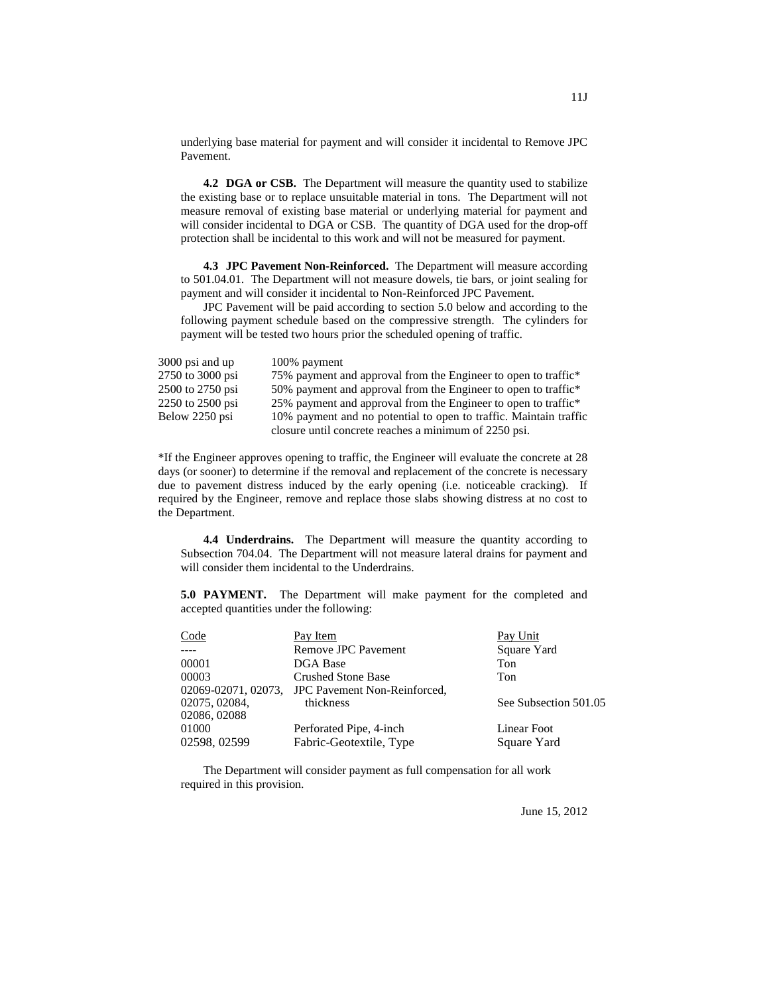underlying base material for payment and will consider it incidental to Remove JPC Pavement.

**4.2 DGA or CSB.** The Department will measure the quantity used to stabilize the existing base or to replace unsuitable material in tons. The Department will not measure removal of existing base material or underlying material for payment and will consider incidental to DGA or CSB. The quantity of DGA used for the drop-off protection shall be incidental to this work and will not be measured for payment.

**4.3 JPC Pavement Non-Reinforced.** The Department will measure according to 501.04.01. The Department will not measure dowels, tie bars, or joint sealing for payment and will consider it incidental to Non-Reinforced JPC Pavement.

JPC Pavement will be paid according to section 5.0 below and according to the following payment schedule based on the compressive strength. The cylinders for payment will be tested two hours prior the scheduled opening of traffic.

| 3000 psi and up  | 100% payment                                                               |
|------------------|----------------------------------------------------------------------------|
| 2750 to 3000 psi | 75% payment and approval from the Engineer to open to traffic*             |
| 2500 to 2750 psi | 50% payment and approval from the Engineer to open to traffic <sup>*</sup> |
| 2250 to 2500 psi | 25% payment and approval from the Engineer to open to traffic <sup>*</sup> |
| Below 2250 psi   | 10% payment and no potential to open to traffic. Maintain traffic          |
|                  | closure until concrete reaches a minimum of 2250 psi.                      |

\*If the Engineer approves opening to traffic, the Engineer will evaluate the concrete at 28 days (or sooner) to determine if the removal and replacement of the concrete is necessary due to pavement distress induced by the early opening (i.e. noticeable cracking). If required by the Engineer, remove and replace those slabs showing distress at no cost to the Department.

**4.4 Underdrains.** The Department will measure the quantity according to Subsection 704.04. The Department will not measure lateral drains for payment and will consider them incidental to the Underdrains.

**5.0 PAYMENT.** The Department will make payment for the completed and accepted quantities under the following:

| Code                | Pay Item                     | Pay Unit              |
|---------------------|------------------------------|-----------------------|
|                     | Remove JPC Pavement          | Square Yard           |
| 00001               | DGA Base                     | Ton                   |
| 00003               | <b>Crushed Stone Base</b>    | Ton                   |
| 02069-02071, 02073, | JPC Pavement Non-Reinforced, |                       |
| 02075, 02084,       | thickness                    | See Subsection 501.05 |
| 02086, 02088        |                              |                       |
| 01000               | Perforated Pipe, 4-inch      | Linear Foot           |
| 02598, 02599        | Fabric-Geotextile, Type      | Square Yard           |

The Department will consider payment as full compensation for all work required in this provision.

June 15, 2012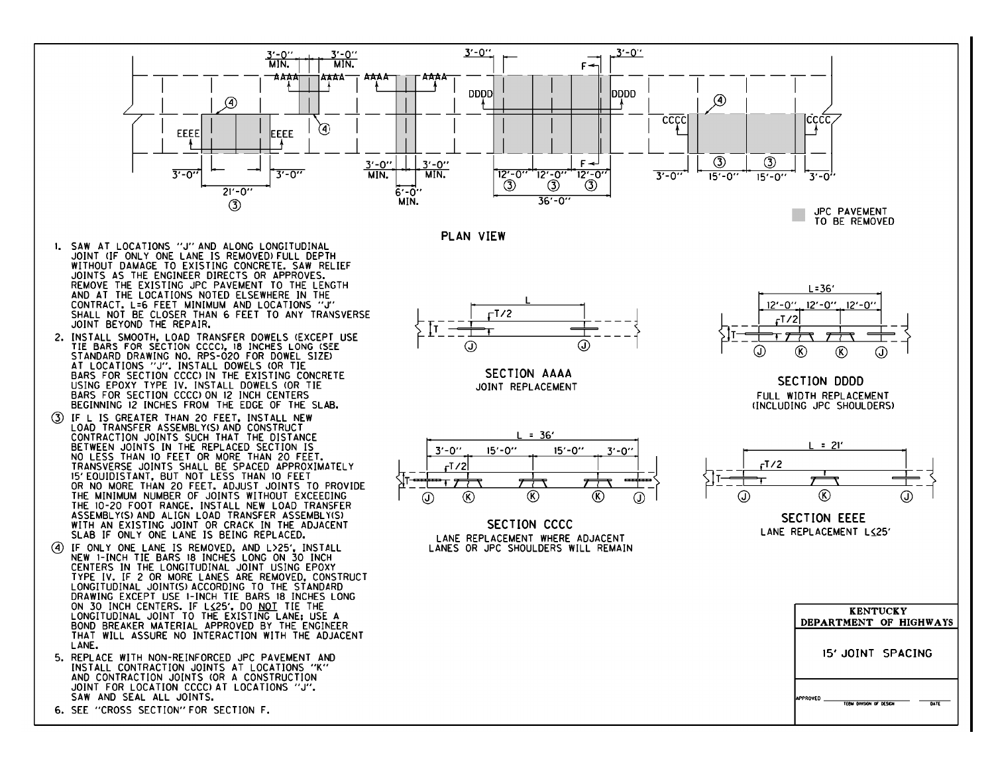



 $3' - 0''$ 

 $\circledcirc$ 

 $F<sub>1</sub>$ 

 $\circledR$ 

- 1. SAW AT LOCATIONS "J" AND ALONG LONGITUDINAL<br>JOINT (IF ONLY ONE LANE IS REMOVED)FULL DEPTH<br>WITHOUT DAMAGE TO EXISTING CONCRETE. SAW RELIEF JOINTS AS THE ENGINEER DIRECTS OR APPROVES. REMOVE THE EXISTING JPC PAVEMENT TO THE LENGTH AND AT THE LOCATIONS NOTED ELSEWHERE IN THE CONTRACT, L=6 FEET MINIMUM AND LOCATIONS "J" SHALL NOT BE CLOSER THAN 6 FEET TO ANY TRANSVERSE JOINT BEYOND THE REPAIR.
- 2. INSTALL SMOOTH, LOAD TRANSFER DOWELS (EXCEPT USE TIE BARS FOR SECTION CCCC, 18 INCHES LONG (SEE STANDARD DRAWING NO. RPS-020 FOR DOWEL SIZE) AT LOCATIONS "J", INSTALL DOWELS (OR TIE BARS FOR SECTION CCCC) IN THE EXISTING CONCRETE USING EPOXY TYPE IV. INSTALL DOWELS (OR TIE BARS FOR SECTION CCCC) ON 12 INCH CENTERS BEGINNING 12 INCHES FROM THE EDGE OF THE SLAB.
- $(3)$ IF L IS GREATER THAN 20 FEET, INSTALL NEW LOAD TRANSFER ASSEMBLY(S) AND CONSTRUCT CONTRACTION JOINTS SUCH THAT THE DISTANCE BETWEEN JOINTS IN THE REPLACED SECTION IS NO LESS THAN IO FEET OR MORE THAN 20 FEET. TRANSVERSE JOINTS SHALL BE SPACED APPROXIMATELY 15' EQUIDISTANT, BUT NOT LESS THAN 10 FEET OR NO MORE THAN 20 FEET, ADJUST JOINTS TO PROVIDE THE MINIMUM NUMBER OF JOINTS WITHOUT EXCEEDING THE 10-20 FOOT RANGE. INSTALL NEW LOAD TRANSFER ASSEMBLY(S) AND ALIGN LOAD TRANSFER ASSEMBLY(S) WITH AN EXISTING JOINT OR CRACK IN THE ADJACENT SLAB IF ONLY ONE LANE IS BEING REPLACED.
- IF ONLY ONE LANE IS REMOVED, AND L>25', INSTALL<br>NEW 1-INCH TIE BARS 18 INCHES LONG ON 30 INCH  $\left( 4\right)$ CENTERS IN THE LONGITUDINAL JOINT USING EPOXY TYPE IV. IF 2 OR MORE LANES ARE REMOVED, CONSTRUCT LONGITUDINAL JOINT(S) ACCORDING TO THE STANDARD DRAWING EXCEPT USE I-INCH TIE BARS 18 INCHES LONG ON 30 INCH CENTERS. IF LS25', DO NOT TIE THE LONGITUDINAL JOINT TO THE EXISTING LANE; USE A BOND BREAKER MATERIAL APPROVED BY THE ENGINEER THAT WILL ASSURE NO INTERACTION WITH THE ADJACENT LANE.
- 5. REPLACE WITH NON-REINFORCED JPC PAVEMENT AND INSTALL CONTRACTION JOINTS AT LOCATIONS "K" AND CONTRACTION JOINTS (OR A CONSTRUCTION JOINT FOR LOCATION CCCC) AT LOCATIONS "J". SAW AND SEAL ALL JOINTS.
- 6. SEE "CROSS SECTION" FOR SECTION F.



SECTION AAAA JOINT REPLACEMENT

 $L = 36'$ 

 $^{\circledR}$ 

 $15' - 0''$ 

 $3' - 0''$ 

 $\odot$ 

 $\circledR$ 

 $15' - 0''$ 



SECTION DDDD FULL WIDTH REPLACEMENT (INCLUDING JPC SHOULDERS)



SECTION EEEE LANE REPLACEMENT LS25'



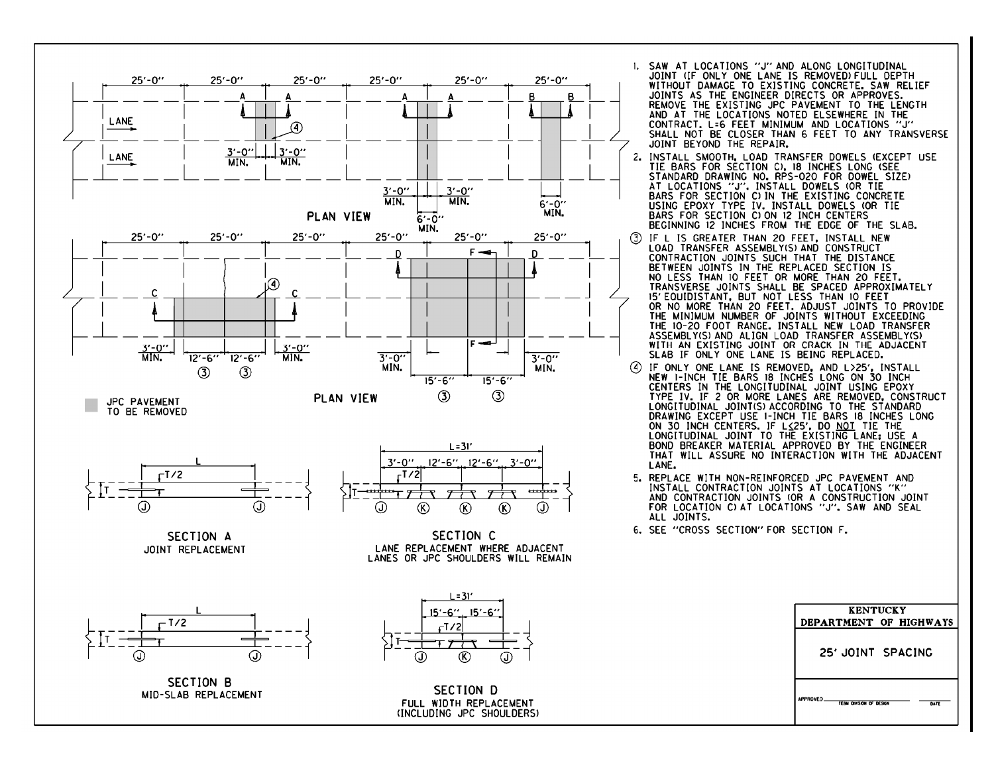

1. SAW AT LOCATIONS "J" AND ALONG LONGITUDINAL JOINT (IF ONLY ONE LANE IS REMOVED) FULL DEPTH WITHOUT DAMAGE TO EXISTING CONCRETE. SAW RELIEF JOINTS AS THE ENGINEER DIRECTS OR APPROVES. REMOVE THE EXISTING JPC PAVEMENT TO THE LENGTH AND AT THE LOCATIONS NOTED ELSEWHERE IN THE CONTRACT. L=6 FEET MINIMUM AND LOCATIONS "J" SHALL NOT BE CLOSER THAN 6 FEET TO ANY TRANSVERSE JOINT BEYOND THE REPAIR.

- INSTALL SMOOTH, LOAD TRANSFER DOWELS (EXCEPT USE TIE BARS FOR SECTION C), 18 INCHES LONG (SEE STANDARD DRAWING NO. RPS-020 FOR DOWEL SIZE) AT LOCATIONS "J". INSTALL DOWELS (OR TIE BARS FOR SECTION C) IN THE EXISTING CONCRETE USING EPOXY TYPE IV. INSTALL DOWELS (OR TIE BARS FOR SECTION CION 12 INCH CENTERS BEGINNING 12 INCHES FROM THE EDGE OF THE SLAB.
- IF L IS GREATER THAN 20 FEET, INSTALL NEW LOAD TRANSFER ASSEMBLY(S) AND CONSTRUCT CONTRACTION JOINTS SUCH THAT THE DISTANCE BETWEEN JOINTS IN THE REPLACED SECTION IS NO LESS THAN 10 FEET OR MORE THAN 20 FEET. TRANSVERSE JOINTS SHALL BE SPACED APPROXIMATELY<br>15' EQUIDISTANT, BUT NOT LESS THAN 10 FEET OR NO MORE THAN 20 FEET. ADJUST JOINTS TO PROVIDE THE MINIMUM NUMBER OF JOINTS WITHOUT EXCEEDING THE 10-20 FOOT RANGE. INSTALL NEW LOAD TRANSFER ASSEMBLY(S) AND ALIGN LOAD TRANSFER ASSEMBLY(S) SLAB IF ONLY ONE LANE IS BEING REPLACED.
- IF ONLY ONE LANE IS REMOVED, AND L>25', INSTALL NEW I-INCH TIE BARS 18 INCHES LONG ON 30 INCH CENTERS IN THE LONGITUDINAL JOINT USING EPOXY TYPE IV. IF 2 OR MORE LANES ARE REMOVED, CONSTRUCT LONGITUDINAL JOINT(S) ACCORDING TO THE STANDARD DRAWING EXCEPT USE 1-INCH TIE BARS 18 INCHES LONG ON 30 INCH CENTERS. IF LAZS', DO NOT TIE THE LANGER LONGITUDINAL JOINT TO THE EXISTING LANE; USE A BOND BREAKER MATERIAL APPROVED BY THE ENGINEER THAT WILL ASSURE NO INTERACTION WITH THE ADJACENT LANE.
- 5. REPLACE WITH NON-REINFORCED JPC PAVEMENT AND INSTALL CONTRACTION JOINTS AT LOCATIONS "K" AND CONTRACTION JOINTS (OR A CONSTRUCTION JOINT FOR LOCATION C) AT LOCATIONS "J". SAW AND SEAL ALL JOINTS.
- 6. SEE "CROSS SECTION" FOR SECTION F.

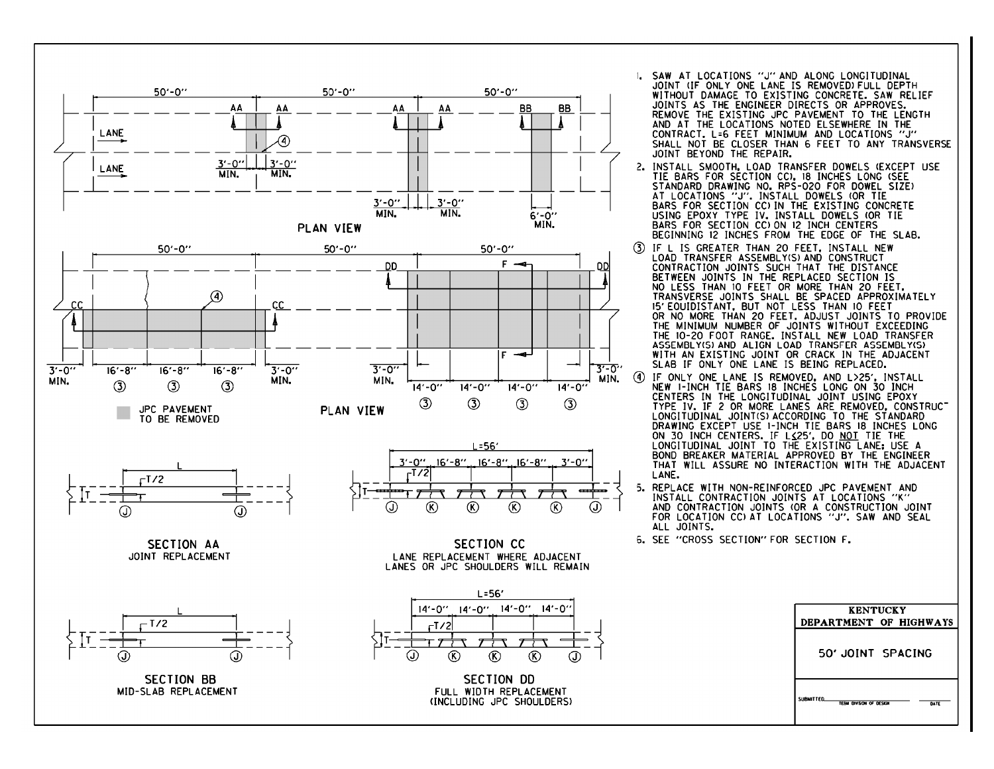

- SAW AT LOCATIONS "J" AND ALONG LONGITUDINAL JOINT (IF ONLY ONE LANE IS REMOVED) FULL DEPTH WITHOUT DAMAGE TO EXISTING CONCRETE. SAW RELIEF JOINTS AS THE ENGINEER DIRECTS OR APPROVES. REMOVE THE EXISTING JPC PAVEMENT TO THE LENGTH AND AT THE LOCATIONS NOTED ELSEWHERE IN THE CONTRACT. L=6 FEET MINIMUM AND LOCATIONS "J"<br>SHALL NOT BE CLOSER THAN 6 FEET TO ANY TRANSVERSE JOINT BEYOND THE REPAIR.
- 2. INSTALL SMOOTH, LOAD TRANSFER DOWELS (EXCEPT USE TIE BARS FOR SECTION CCI. 18 INCHES LONG (SEE STANDARD DRAWING NO. RPS-020 FOR DOWEL SIZE) AT LOCATIONS "J". INSTALL DOWELS (OR TIE BARS FOR SECTION CO IN THE EXISTING CONCRETE<br>USING EPOXY TYPE IV. INSTALL DOWELS (OR TIE<br>BARS FOR SECTION CC ON 12 INCH CENTERS BEGINNING 12 INCHES FROM THE EDGE OF THE SLAB.
- IF L IS GREATER THAN 20 FEET, INSTALL NEW LOAD TRANSFER ASSEMBLY(S) AND CONSTRUCT CONTRACTION JOINTS SUCH THAT THE DISTANCE<br>BETWEEN JOINTS IN THE REPLACED SECTION IS NO LESS THAN 10 FEET OR MORE THAN 20 FEET. TRANSVERSE JOINTS SHALL BE SPACED APPROXIMATELY<br>15' EQUIDISTANT, BUT NOT LESS THAN 10 FEET OR NO MORE THAN 20 FEET. ADJUST JOINTS TO PROVIDE THE MINIMUM NUMBER OF JOINTS WITHOUT EXCEEDING THE 10-20 FOOT RANGE. INSTALL NEW LOAD TRANSFER<br>ASSEMBLY(S) AND ALIGN LOAD TRANSFER ASSEMBLY(S) WITH AN EXISTING JOINT OR CRACK IN THE ADJACENT SLAB IF ONLY ONE LANE IS BEING REPLACED.
- IF ONLY ONE LANE IS REMOVED, AND L>25', INSTALL NEW I-INCH TIE BARS 18 INCHES LONG ON 30 INCH CENTERS IN THE LONGITUDINAL JOINT USING EPOXY TYPE IV. IF 2 OR MORE LANES ARE REMOVED, CONSTRUCT LONGITUDINAL JOINT(S) ACCORDING TO THE STANDARD DRAWING EXCEPT USE 1-INCH TIE BARS 18 INCHES LONG ON 30 INCH CENTERS. IF L325', DO NOT TIE THE -BOND BREAKER MATERIAL APPROVED BY THE ENGINEER THAT WILL ASSURE NO INTERACTION WITH THE ADJACENT LANE.
- REPLACE WITH NON-REINFORCED JPC PAVEMENT AND INSTALL CONTRACTION JOINTS AT LOCATIONS "K" AND CONTRACTION JOINTS (OR A CONSTRUCTION JOINT FOR LOCATION CC) AT LOCATIONS "J", SAW AND SEAL ALL JOINTS.
- 6. SEE "CROSS SECTION" FOR SECTION F.

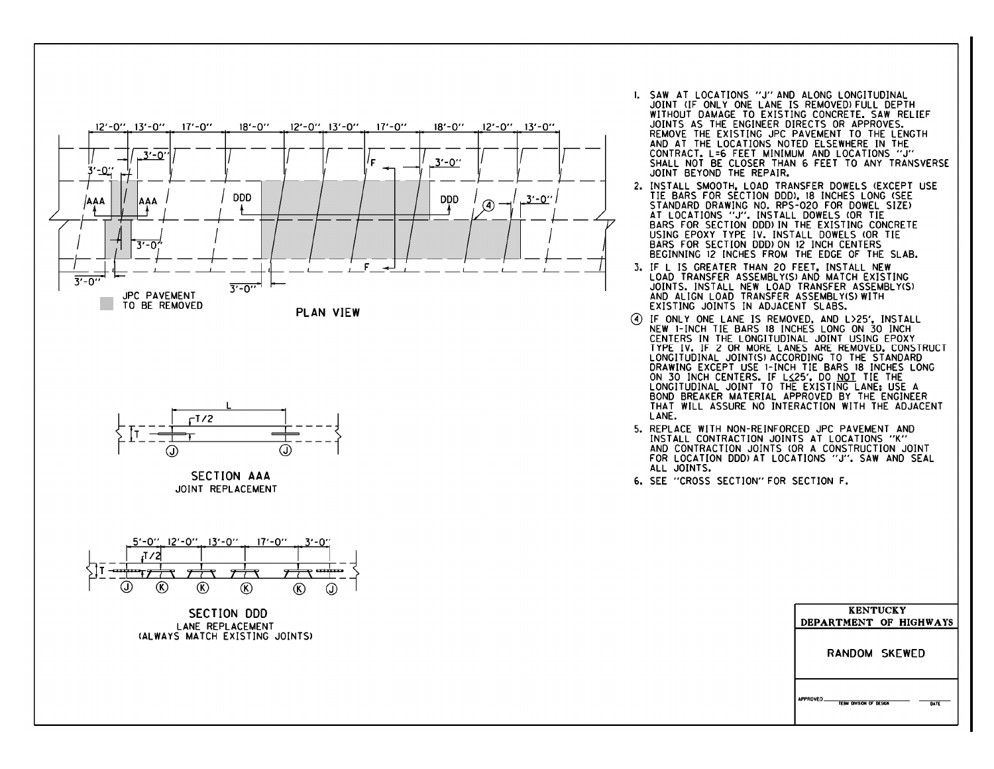$12' - 0''$ ,  $13' - 0''$  $17' - 0''$  $18' - 0''$ 12'-0" 13'-0"  $17' - 0''$  $18' - 0''$  $12' - 0'' - 13' - 0''$  $3' - 0'$  $3' - 0''$ <u>-01'</u> DD<sub>D</sub> **DDD**  $3' - 0''$ /AAA AAA ᠗  $3 - 0$  $3' - 0'$  $3' - 0''$ JPC PAVEMENT TO BE REMOVED PLAN VIEW  $T/2$ SECTION AAA JOINT REPLACEMENT



- 1. SAW AT LOCATIONS "J" AND ALONG LONGITUDINAL JOINT (IF ONLY ONE LANE IS REMOVED) FULL DEPTH WITHOUT DAMAGE TO EXISTING CONCRETE. SAW RELIEF JOINTS AS THE ENGINEER DIRECTS OR APPROVES. REMOVE THE EXISTING JPC PAVEMENT TO THE LENGTH AND AT THE LOCATIONS NOTED ELSEWHERE IN THE CONTRACT. L=6 FEET MINIMUM AND LOCATIONS "J" SHALL NOT BE CLOSER THAN 6 FEET TO ANY TRANSVERSE JOINT BEYOND THE REPAIR.
- 2. INSTALL SMOOTH, LOAD TRANSFER DOWELS (EXCEPT USE TIE BARS FOR SECTION DDD. 18 INCHES LONG (SEE<br>STANDARD DRAWING NO. RPS-020 FOR DOWEL SIZE)<br>AT LOCATIONS "J". INSTALL DOWELS (OR TIE BARS FOR SECTION DDD) IN THE EXISTING CONCRETE USING EPOXY TYPE IV. INSTALL DOWELS (OR TIE BARS FOR SECTION DDD) ON 12 INCH CENTERS BEGINNING 12 INCHES FROM THE EDGE OF THE SLAB.
- IF L IS GREATER THAN 20 FEET, INSTALL NEW<br>LOAD TRANSFER ASSEMBLY(S) AND MATCH EXISTING 3. JOINTS, INSTALL NEW LOAD TRANSFER ASSEMBLY(S) AND ALIGN LOAD TRANSFER ASSEMBLY(S) WITH EXISTING JOINTS IN ADJACENT SLABS.
- (4) IF ONLY ONE LANE IS REMOVED, AND L>25', INSTALL NEW 1-INCH TIE BARS 18 INCHES LONG ON 30 INCH CENTERS IN THE LONGITUDINAL JOINT USING EPOXY<br>TYPE IV. IF 2 OR MORE LANES ARE REMOVED, CONSTRUCT LONGITUDINAL JOINT(S) ACCORDING TO THE STANDARD DRAWING EXCEPT USE 1-INCH TIE BARS 18 INCHES LONG ON 30 INCH CENTERS. IF LS25', DO NOT TIE THE<br>LONGITUDINAL JOINT TO THE EXISTING LANE; USE A BOND BREAKER MATERIAL APPROVED BY THE ENGINEER THAT WILL ASSURE NO INTERACTION WITH THE ADJACENT LANE.
- 5. REPLACE WITH NON-REINFORCED JPC PAVEMENT AND INSTALL CONTRACTION JOINTS AT LOCATIONS "K" AND CONTRACTION JOINTS (OR A CONSTRUCTION JOINT FOR LOCATION DDD) AT LOCATIONS "J". SAW AND SEAL ALL JOINTS.

6. SEE "CROSS SECTION" FOR SECTION F.